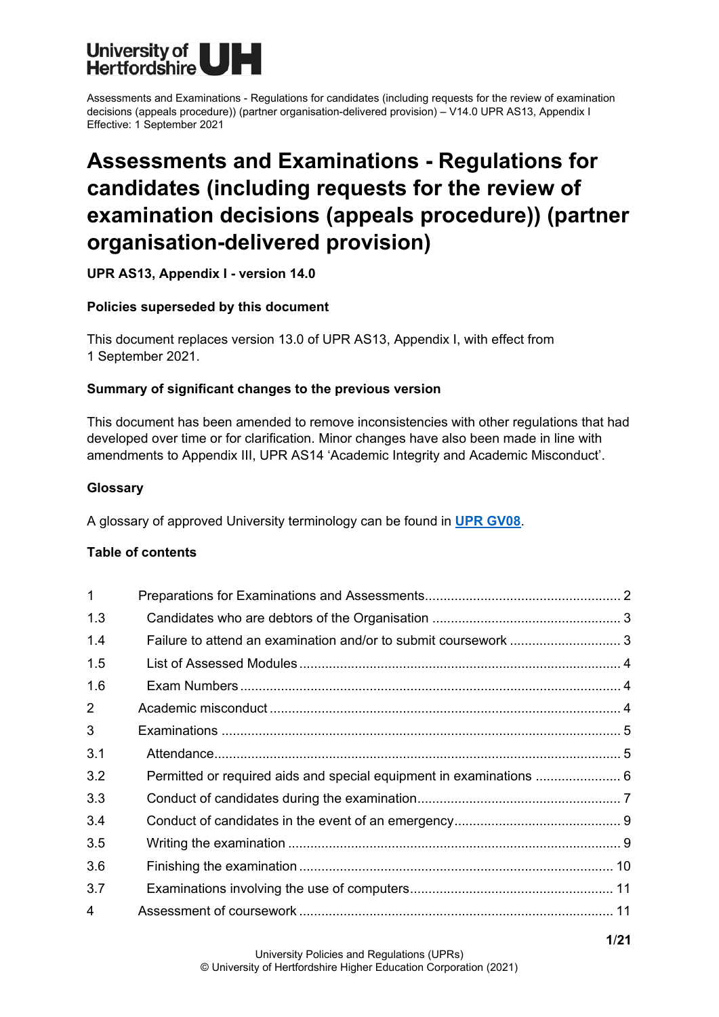

# **Assessments and Examinations - Regulations for candidates (including requests for the review of examination decisions (appeals procedure)) (partner organisation-delivered provision)**

**UPR AS13, Appendix I - version 14.0**

# **Policies superseded by this document**

This document replaces version 13.0 of UPR AS13, Appendix I, with effect from 1 September 2021.

# **Summary of significant changes to the previous version**

This document has been amended to remove inconsistencies with other regulations that had developed over time or for clarification. Minor changes have also been made in line with amendments to Appendix III, UPR AS14 'Academic Integrity and Academic Misconduct'.

# **Glossary**

A glossary of approved University terminology can be found in **[UPR GV08](https://www.herts.ac.uk/__data/assets/pdf_file/0020/233057/GV08-Glossary-of-Terminology.pdf)**.

## **Table of contents**

| $\mathbf 1$ |                                                                     |  |
|-------------|---------------------------------------------------------------------|--|
| 1.3         |                                                                     |  |
| 1.4         | Failure to attend an examination and/or to submit coursework  3     |  |
| 1.5         |                                                                     |  |
| 1.6         |                                                                     |  |
| 2           |                                                                     |  |
| 3           |                                                                     |  |
| 3.1         |                                                                     |  |
| 3.2         | Permitted or required aids and special equipment in examinations  6 |  |
| 3.3         |                                                                     |  |
| 3.4         |                                                                     |  |
| 3.5         |                                                                     |  |
| 3.6         |                                                                     |  |
| 3.7         |                                                                     |  |
| 4           |                                                                     |  |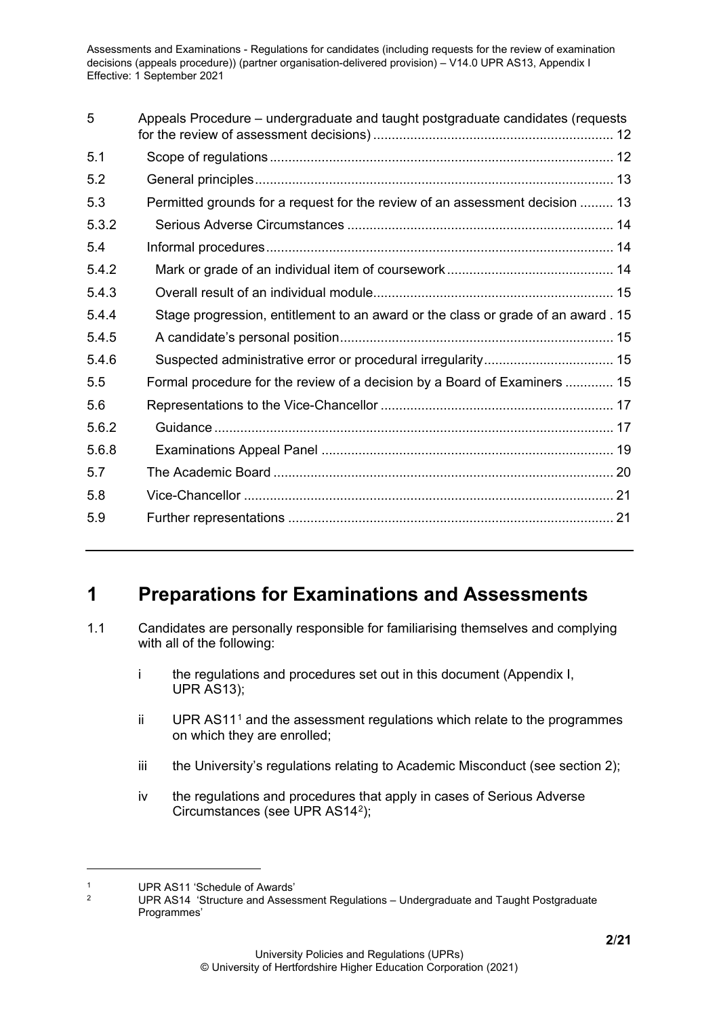| 5     | Appeals Procedure – undergraduate and taught postgraduate candidates (requests    |
|-------|-----------------------------------------------------------------------------------|
| 5.1   |                                                                                   |
| 5.2   |                                                                                   |
| 5.3   | Permitted grounds for a request for the review of an assessment decision  13      |
| 5.3.2 |                                                                                   |
| 5.4   |                                                                                   |
| 5.4.2 |                                                                                   |
| 5.4.3 |                                                                                   |
| 5.4.4 | Stage progression, entitlement to an award or the class or grade of an award . 15 |
| 5.4.5 |                                                                                   |
| 5.4.6 | Suspected administrative error or procedural irregularity 15                      |
| 5.5   | Formal procedure for the review of a decision by a Board of Examiners  15         |
| 5.6   |                                                                                   |
| 5.6.2 |                                                                                   |
| 5.6.8 |                                                                                   |
| 5.7   |                                                                                   |
| 5.8   |                                                                                   |
| 5.9   |                                                                                   |

# <span id="page-1-0"></span>**1 Preparations for Examinations and Assessments**

- 1.1 Candidates are personally responsible for familiarising themselves and complying with all of the following:
	- i the regulations and procedures set out in this document (Appendix I, UPR AS13);
	- ii UPR AS[1](#page-1-1)1<sup>1</sup> and the assessment regulations which relate to the programmes on which they are enrolled;
	- iii the University's regulations relating to Academic Misconduct (see section 2);
	- iv the regulations and procedures that apply in cases of Serious Adverse Circumstances (see UPR AS14[2\)](#page-1-2);

<span id="page-1-2"></span><span id="page-1-1"></span><sup>&</sup>lt;sup>1</sup> UPR AS11 'Schedule of Awards'<br><sup>2</sup> UPP AS14 'Structure and Assoc

<sup>2</sup> UPR AS14 'Structure and Assessment Regulations – Undergraduate and Taught Postgraduate Programmes'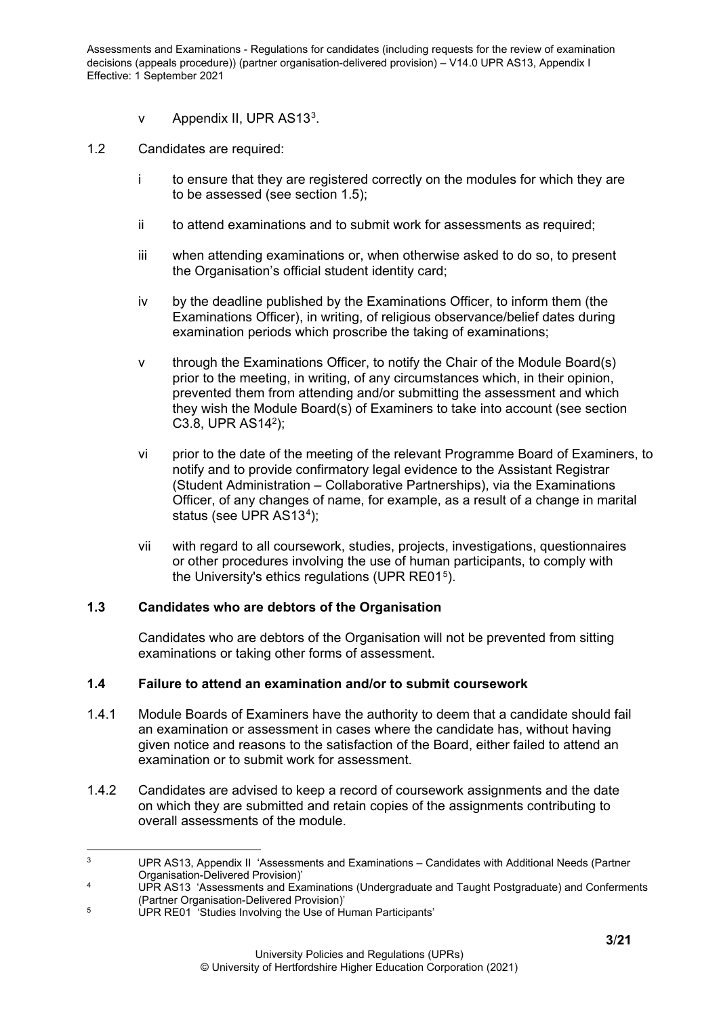- v Appendix II, UPR AS13<sup>3</sup>.
- 1.2 Candidates are required:
	- i to ensure that they are registered correctly on the modules for which they are to be assessed (see section 1.5);
	- ii to attend examinations and to submit work for assessments as required;
	- iii when attending examinations or, when otherwise asked to do so, to present the Organisation's official student identity card;
	- iv by the deadline published by the Examinations Officer, to inform them (the Examinations Officer), in writing, of religious observance/belief dates during examination periods which proscribe the taking of examinations;
	- v through the Examinations Officer, to notify the Chair of the Module Board(s) prior to the meeting, in writing, of any circumstances which, in their opinion, prevented them from attending and/or submitting the assessment and which they wish the Module Board(s) of Examiners to take into account (see section C3.8, UPR AS142);
	- vi prior to the date of the meeting of the relevant Programme Board of Examiners, to notify and to provide confirmatory legal evidence to the Assistant Registrar (Student Administration – Collaborative Partnerships), via the Examinations Officer, of any changes of name, for example, as a result of a change in marital status (see UPR AS13<sup>[4](#page-2-3)</sup>);
	- vii with regard to all coursework, studies, projects, investigations, questionnaires or other procedures involving the use of human participants, to comply with the University's ethics regulations (UPR RE01<sup>5</sup>).

## <span id="page-2-0"></span>**1.3 Candidates who are debtors of the Organisation**

Candidates who are debtors of the Organisation will not be prevented from sitting examinations or taking other forms of assessment.

#### <span id="page-2-1"></span>**1.4 Failure to attend an examination and/or to submit coursework**

- 1.4.1 Module Boards of Examiners have the authority to deem that a candidate should fail an examination or assessment in cases where the candidate has, without having given notice and reasons to the satisfaction of the Board, either failed to attend an examination or to submit work for assessment.
- 1.4.2 Candidates are advised to keep a record of coursework assignments and the date on which they are submitted and retain copies of the assignments contributing to overall assessments of the module.

<span id="page-2-2"></span><sup>3</sup> UPR AS13, Appendix II 'Assessments and Examinations – Candidates with Additional Needs (Partner Organisation-Delivered Provision)'

<span id="page-2-3"></span><sup>&</sup>lt;sup>4</sup> UPR AS13 'Assessments and Examinations (Undergraduate and Taught Postgraduate) and Conferments (Partner Organisation-Delivered Provision)'

<span id="page-2-4"></span><sup>5</sup> UPR RE01 'Studies Involving the Use of Human Participants'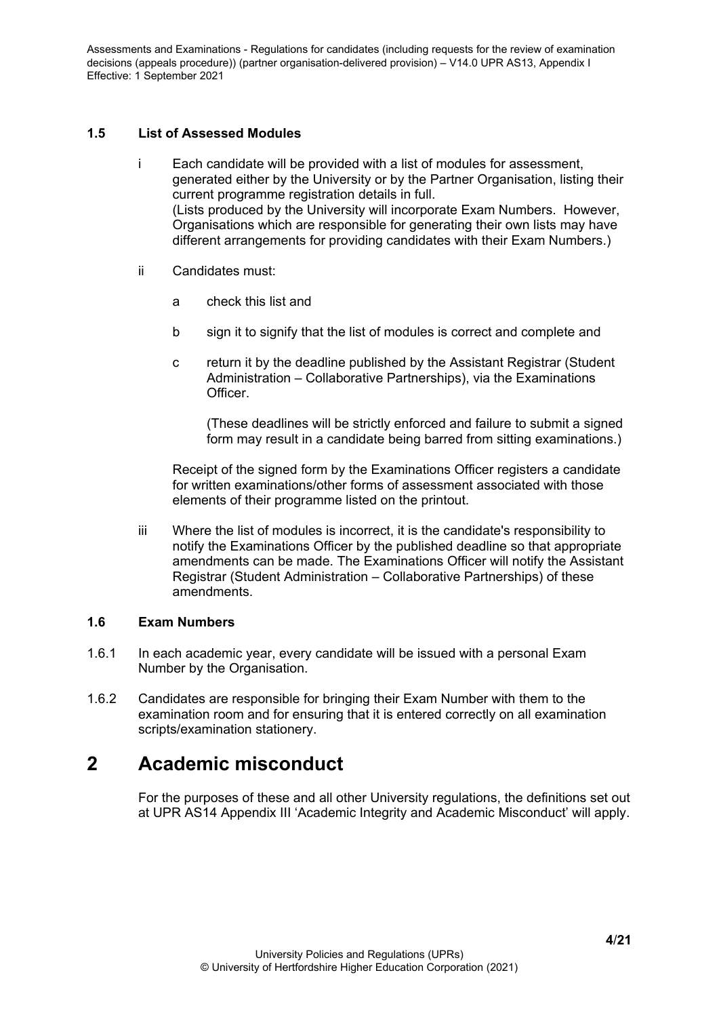# <span id="page-3-0"></span>**1.5 List of Assessed Modules**

- i Each candidate will be provided with a list of modules for assessment, generated either by the University or by the Partner Organisation, listing their current programme registration details in full. (Lists produced by the University will incorporate Exam Numbers. However, Organisations which are responsible for generating their own lists may have different arrangements for providing candidates with their Exam Numbers.)
- ii Candidates must:
	- a check this list and
	- b sign it to signify that the list of modules is correct and complete and
	- c return it by the deadline published by the Assistant Registrar (Student Administration – Collaborative Partnerships), via the Examinations Officer.

(These deadlines will be strictly enforced and failure to submit a signed form may result in a candidate being barred from sitting examinations.)

Receipt of the signed form by the Examinations Officer registers a candidate for written examinations/other forms of assessment associated with those elements of their programme listed on the printout.

iii Where the list of modules is incorrect, it is the candidate's responsibility to notify the Examinations Officer by the published deadline so that appropriate amendments can be made. The Examinations Officer will notify the Assistant Registrar (Student Administration – Collaborative Partnerships) of these amendments.

## <span id="page-3-1"></span>**1.6 Exam Numbers**

- 1.6.1 In each academic year, every candidate will be issued with a personal Exam Number by the Organisation.
- 1.6.2 Candidates are responsible for bringing their Exam Number with them to the examination room and for ensuring that it is entered correctly on all examination scripts/examination stationery.

# <span id="page-3-2"></span>**2 Academic misconduct**

For the purposes of these and all other University regulations, the definitions set out at UPR AS14 Appendix III 'Academic Integrity and Academic Misconduct' will apply.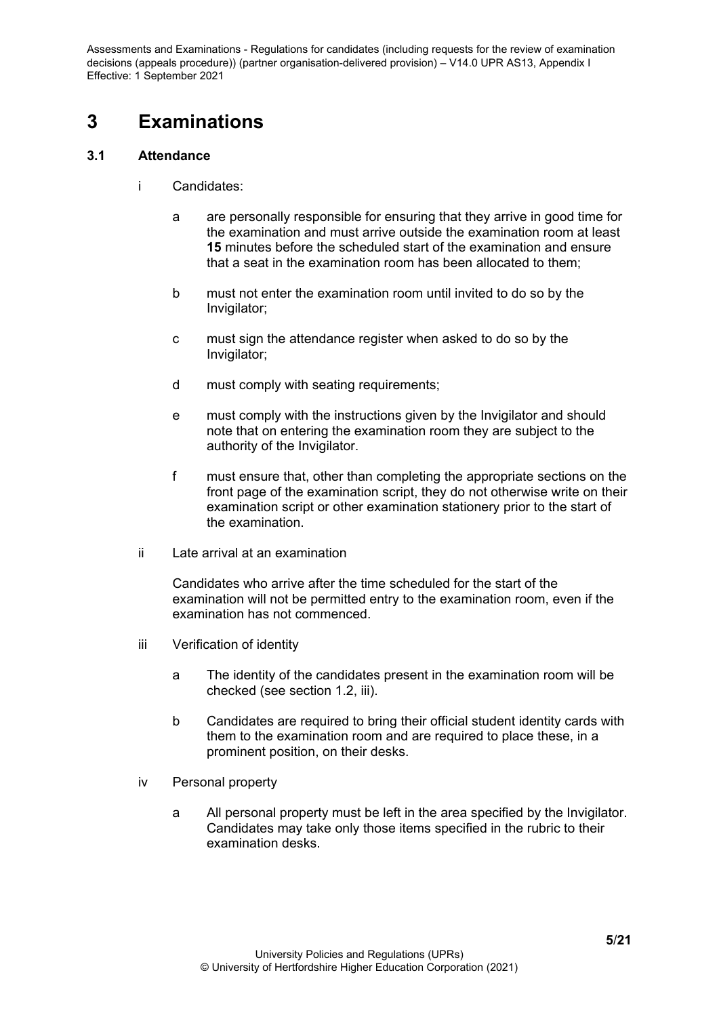# <span id="page-4-0"></span>**3 Examinations**

# <span id="page-4-1"></span>**3.1 Attendance**

- i Candidates:
	- a are personally responsible for ensuring that they arrive in good time for the examination and must arrive outside the examination room at least **15** minutes before the scheduled start of the examination and ensure that a seat in the examination room has been allocated to them;
	- b must not enter the examination room until invited to do so by the Invigilator;
	- c must sign the attendance register when asked to do so by the Invigilator;
	- d must comply with seating requirements;
	- e must comply with the instructions given by the Invigilator and should note that on entering the examination room they are subject to the authority of the Invigilator.
	- f must ensure that, other than completing the appropriate sections on the front page of the examination script, they do not otherwise write on their examination script or other examination stationery prior to the start of the examination.
- ii Late arrival at an examination

Candidates who arrive after the time scheduled for the start of the examination will not be permitted entry to the examination room, even if the examination has not commenced.

- iii Verification of identity
	- a The identity of the candidates present in the examination room will be checked (see section 1.2, iii).
	- b Candidates are required to bring their official student identity cards with them to the examination room and are required to place these, in a prominent position, on their desks.
- iv Personal property
	- a All personal property must be left in the area specified by the Invigilator. Candidates may take only those items specified in the rubric to their examination desks.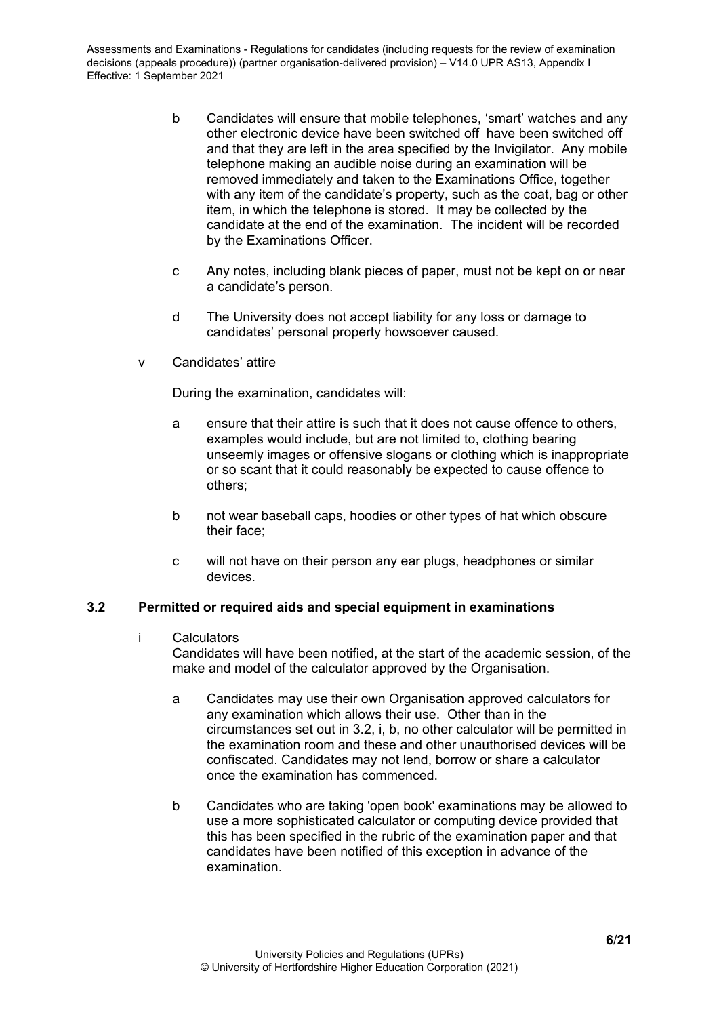- b Candidates will ensure that mobile telephones, 'smart' watches and any other electronic device have been switched off have been switched off and that they are left in the area specified by the Invigilator. Any mobile telephone making an audible noise during an examination will be removed immediately and taken to the Examinations Office, together with any item of the candidate's property, such as the coat, bag or other item, in which the telephone is stored. It may be collected by the candidate at the end of the examination. The incident will be recorded by the Examinations Officer.
- c Any notes, including blank pieces of paper, must not be kept on or near a candidate's person.
- d The University does not accept liability for any loss or damage to candidates' personal property howsoever caused.
- v Candidates' attire

During the examination, candidates will:

- a ensure that their attire is such that it does not cause offence to others, examples would include, but are not limited to, clothing bearing unseemly images or offensive slogans or clothing which is inappropriate or so scant that it could reasonably be expected to cause offence to others;
- b not wear baseball caps, hoodies or other types of hat which obscure their face;
- c will not have on their person any ear plugs, headphones or similar devices.

## <span id="page-5-0"></span>**3.2 Permitted or required aids and special equipment in examinations**

i Calculators

Candidates will have been notified, at the start of the academic session, of the make and model of the calculator approved by the Organisation.

- a Candidates may use their own Organisation approved calculators for any examination which allows their use. Other than in the circumstances set out in 3.2, i, b, no other calculator will be permitted in the examination room and these and other unauthorised devices will be confiscated. Candidates may not lend, borrow or share a calculator once the examination has commenced.
- b Candidates who are taking 'open book' examinations may be allowed to use a more sophisticated calculator or computing device provided that this has been specified in the rubric of the examination paper and that candidates have been notified of this exception in advance of the examination.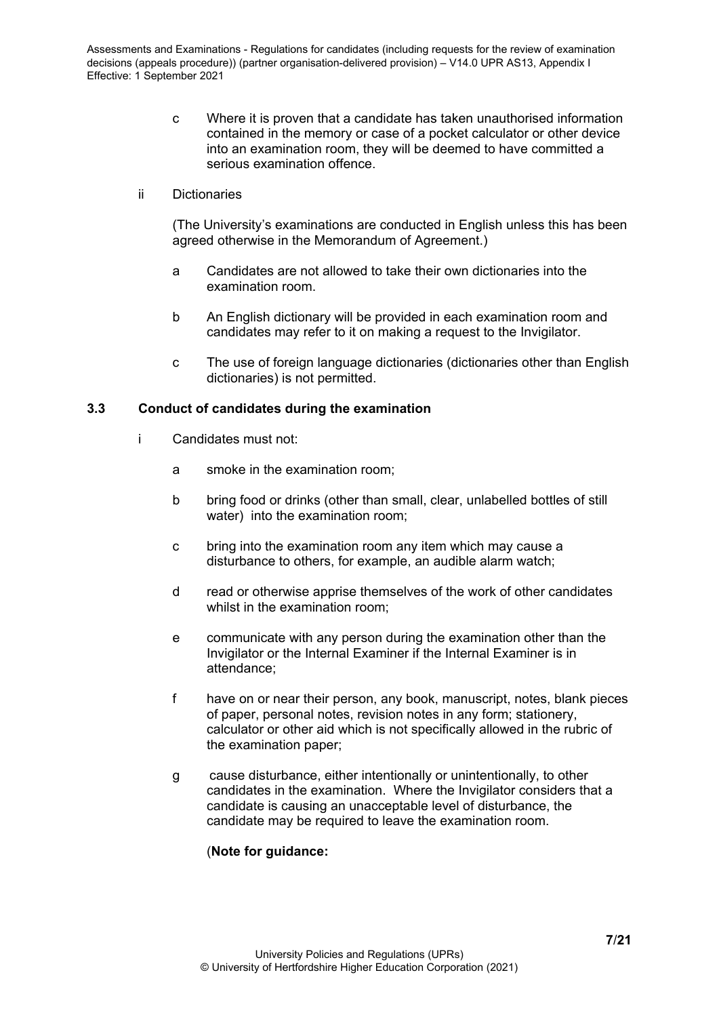- c Where it is proven that a candidate has taken unauthorised information contained in the memory or case of a pocket calculator or other device into an examination room, they will be deemed to have committed a serious examination offence.
- ii Dictionaries

(The University's examinations are conducted in English unless this has been agreed otherwise in the Memorandum of Agreement.)

- a Candidates are not allowed to take their own dictionaries into the examination room.
- b An English dictionary will be provided in each examination room and candidates may refer to it on making a request to the Invigilator.
- c The use of foreign language dictionaries (dictionaries other than English dictionaries) is not permitted.

#### <span id="page-6-0"></span>**3.3 Conduct of candidates during the examination**

- i Candidates must not:
	- a smoke in the examination room;
	- b bring food or drinks (other than small, clear, unlabelled bottles of still water) into the examination room;
	- c bring into the examination room any item which may cause a disturbance to others, for example, an audible alarm watch;
	- d read or otherwise apprise themselves of the work of other candidates whilst in the examination room;
	- e communicate with any person during the examination other than the Invigilator or the Internal Examiner if the Internal Examiner is in attendance;
	- f have on or near their person, any book, manuscript, notes, blank pieces of paper, personal notes, revision notes in any form; stationery, calculator or other aid which is not specifically allowed in the rubric of the examination paper;
	- g cause disturbance, either intentionally or unintentionally, to other candidates in the examination. Where the Invigilator considers that a candidate is causing an unacceptable level of disturbance, the candidate may be required to leave the examination room.

# (**Note for guidance:**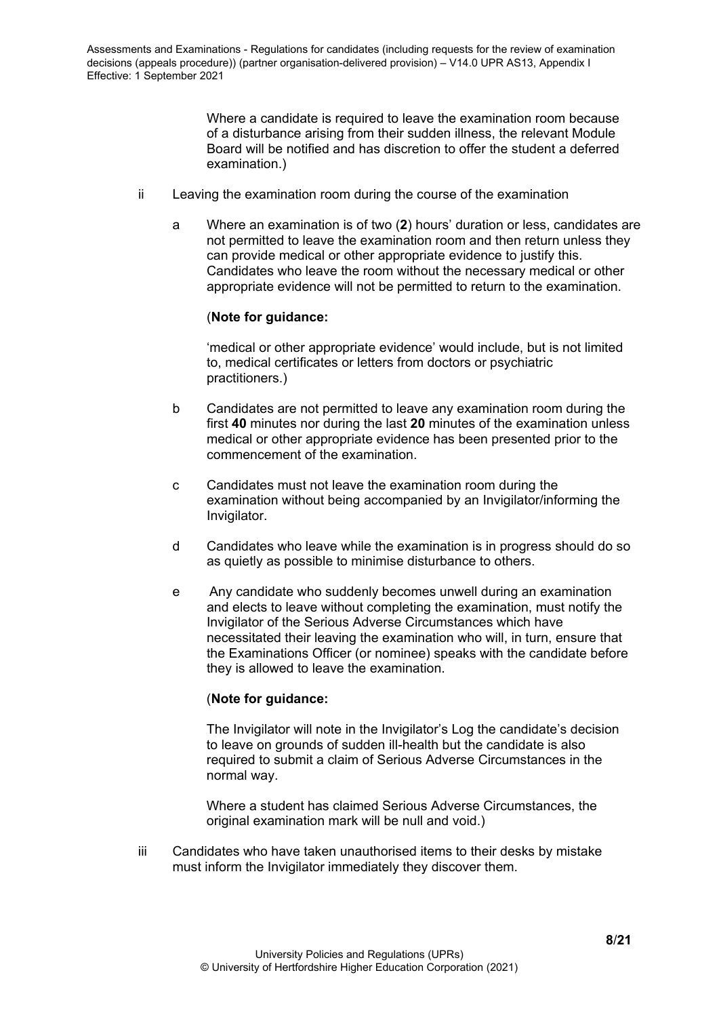Where a candidate is required to leave the examination room because of a disturbance arising from their sudden illness, the relevant Module Board will be notified and has discretion to offer the student a deferred examination.)

- ii Leaving the examination room during the course of the examination
	- a Where an examination is of two (**2**) hours' duration or less, candidates are not permitted to leave the examination room and then return unless they can provide medical or other appropriate evidence to justify this. Candidates who leave the room without the necessary medical or other appropriate evidence will not be permitted to return to the examination.

## (**Note for guidance:**

'medical or other appropriate evidence' would include, but is not limited to, medical certificates or letters from doctors or psychiatric practitioners.)

- b Candidates are not permitted to leave any examination room during the first **40** minutes nor during the last **20** minutes of the examination unless medical or other appropriate evidence has been presented prior to the commencement of the examination.
- c Candidates must not leave the examination room during the examination without being accompanied by an Invigilator/informing the Invigilator.
- d Candidates who leave while the examination is in progress should do so as quietly as possible to minimise disturbance to others.
- e Any candidate who suddenly becomes unwell during an examination and elects to leave without completing the examination, must notify the Invigilator of the Serious Adverse Circumstances which have necessitated their leaving the examination who will, in turn, ensure that the Examinations Officer (or nominee) speaks with the candidate before they is allowed to leave the examination.

## (**Note for guidance:**

The Invigilator will note in the Invigilator's Log the candidate's decision to leave on grounds of sudden ill-health but the candidate is also required to submit a claim of Serious Adverse Circumstances in the normal way.

Where a student has claimed Serious Adverse Circumstances, the original examination mark will be null and void.)

iii Candidates who have taken unauthorised items to their desks by mistake must inform the Invigilator immediately they discover them.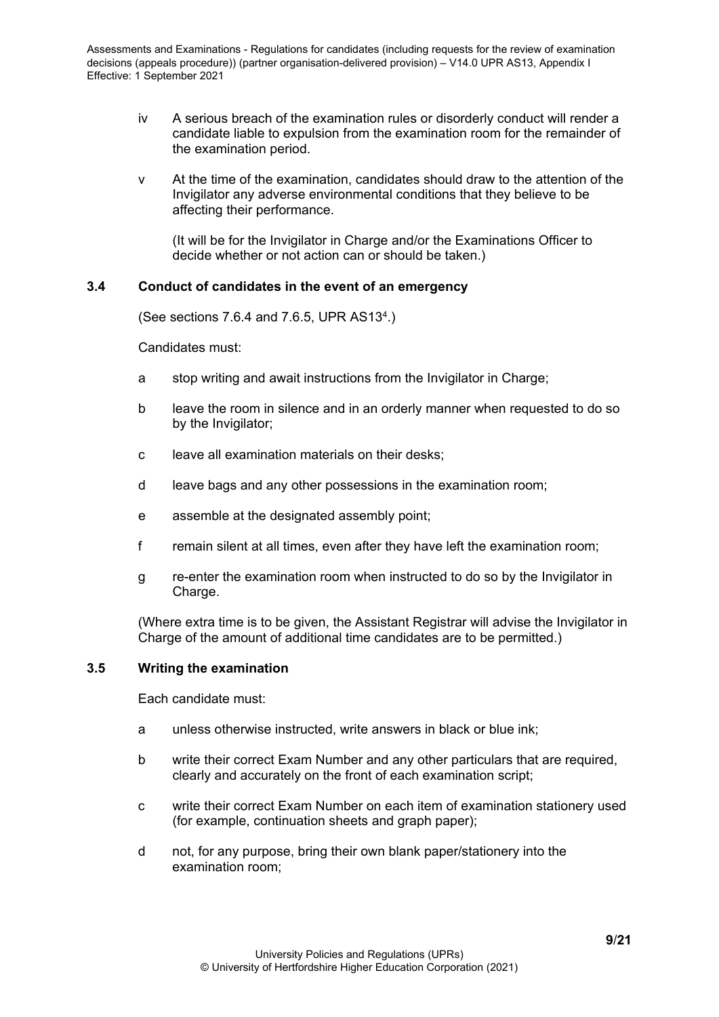- iv A serious breach of the examination rules or disorderly conduct will render a candidate liable to expulsion from the examination room for the remainder of the examination period.
- v At the time of the examination, candidates should draw to the attention of the Invigilator any adverse environmental conditions that they believe to be affecting their performance.

(It will be for the Invigilator in Charge and/or the Examinations Officer to decide whether or not action can or should be taken.)

#### <span id="page-8-0"></span>**3.4 Conduct of candidates in the event of an emergency**

(See sections 7.6.4 and 7.6.5, UPR AS134.)

Candidates must:

- a stop writing and await instructions from the Invigilator in Charge;
- b leave the room in silence and in an orderly manner when requested to do so by the Invigilator;
- c leave all examination materials on their desks;
- d leave bags and any other possessions in the examination room;
- e assemble at the designated assembly point;
- f remain silent at all times, even after they have left the examination room;
- g re-enter the examination room when instructed to do so by the Invigilator in Charge.

(Where extra time is to be given, the Assistant Registrar will advise the Invigilator in Charge of the amount of additional time candidates are to be permitted.)

#### <span id="page-8-1"></span>**3.5 Writing the examination**

Each candidate must:

- a unless otherwise instructed, write answers in black or blue ink;
- b write their correct Exam Number and any other particulars that are required, clearly and accurately on the front of each examination script;
- c write their correct Exam Number on each item of examination stationery used (for example, continuation sheets and graph paper);
- d not, for any purpose, bring their own blank paper/stationery into the examination room;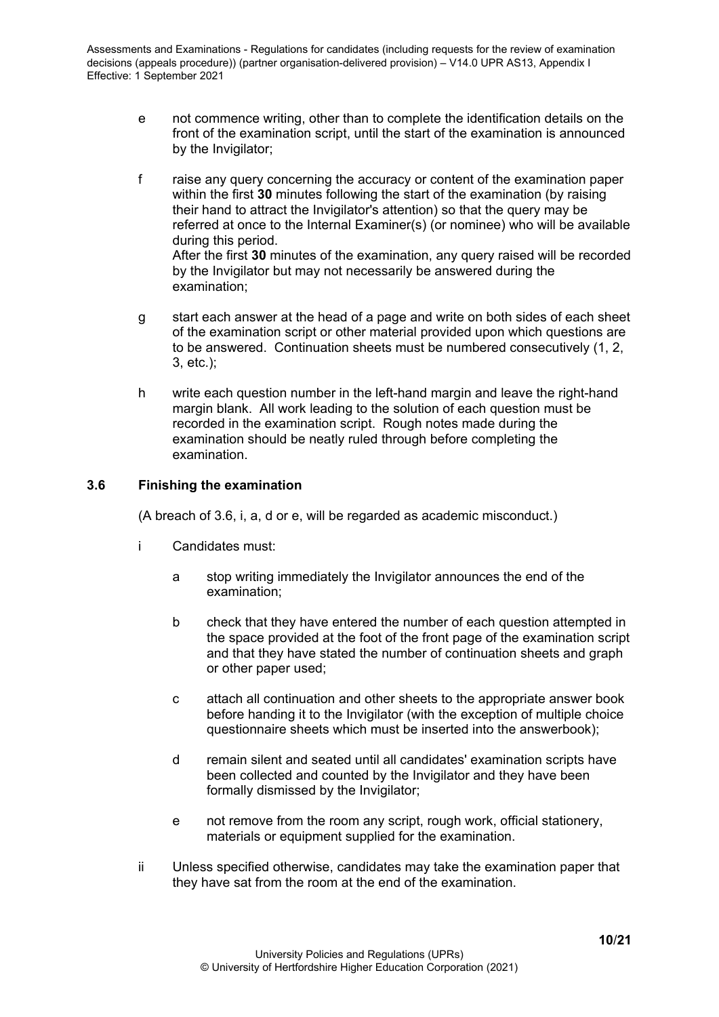- e not commence writing, other than to complete the identification details on the front of the examination script, until the start of the examination is announced by the Invigilator;
- f raise any query concerning the accuracy or content of the examination paper within the first **30** minutes following the start of the examination (by raising their hand to attract the Invigilator's attention) so that the query may be referred at once to the Internal Examiner(s) (or nominee) who will be available during this period. After the first **30** minutes of the examination, any query raised will be recorded by the Invigilator but may not necessarily be answered during the examination;
- g start each answer at the head of a page and write on both sides of each sheet of the examination script or other material provided upon which questions are to be answered. Continuation sheets must be numbered consecutively (1, 2, 3, etc.);
- h write each question number in the left-hand margin and leave the right-hand margin blank. All work leading to the solution of each question must be recorded in the examination script. Rough notes made during the examination should be neatly ruled through before completing the examination.

## <span id="page-9-0"></span>**3.6 Finishing the examination**

(A breach of 3.6, i, a, d or e, will be regarded as academic misconduct.)

- i Candidates must:
	- a stop writing immediately the Invigilator announces the end of the examination;
	- b check that they have entered the number of each question attempted in the space provided at the foot of the front page of the examination script and that they have stated the number of continuation sheets and graph or other paper used;
	- c attach all continuation and other sheets to the appropriate answer book before handing it to the Invigilator (with the exception of multiple choice questionnaire sheets which must be inserted into the answerbook);
	- d remain silent and seated until all candidates' examination scripts have been collected and counted by the Invigilator and they have been formally dismissed by the Invigilator;
	- e not remove from the room any script, rough work, official stationery, materials or equipment supplied for the examination.
- ii Unless specified otherwise, candidates may take the examination paper that they have sat from the room at the end of the examination.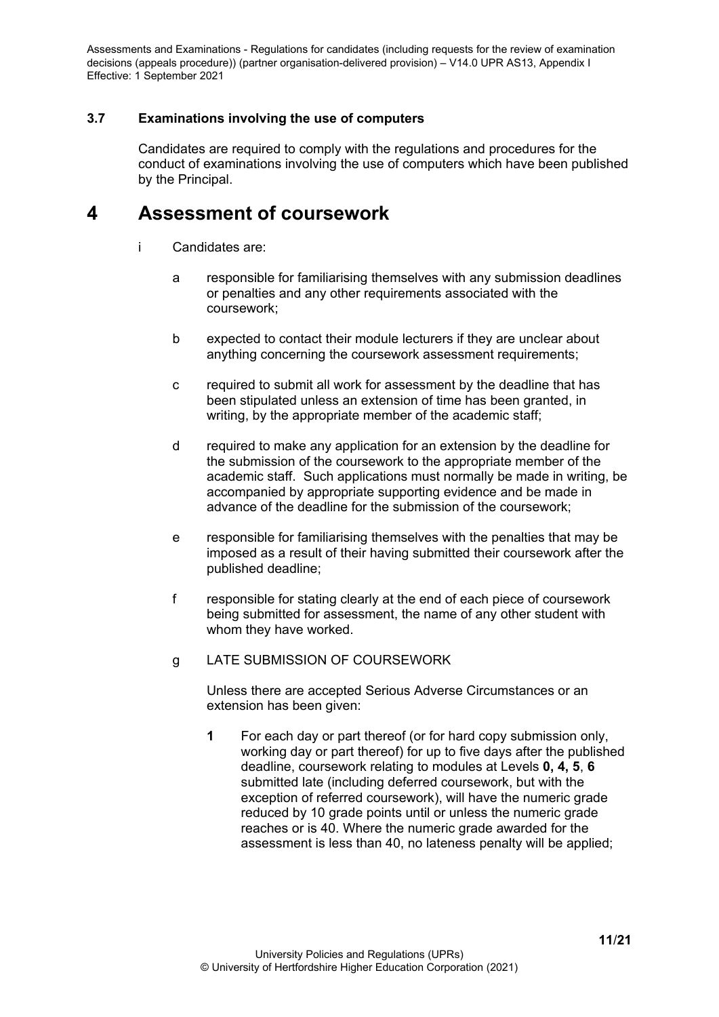# <span id="page-10-0"></span>**3.7 Examinations involving the use of computers**

Candidates are required to comply with the regulations and procedures for the conduct of examinations involving the use of computers which have been published by the Principal.

# <span id="page-10-1"></span>**4 Assessment of coursework**

- i Candidates are:
	- a responsible for familiarising themselves with any submission deadlines or penalties and any other requirements associated with the coursework;
	- b expected to contact their module lecturers if they are unclear about anything concerning the coursework assessment requirements;
	- c required to submit all work for assessment by the deadline that has been stipulated unless an extension of time has been granted, in writing, by the appropriate member of the academic staff;
	- d required to make any application for an extension by the deadline for the submission of the coursework to the appropriate member of the academic staff. Such applications must normally be made in writing, be accompanied by appropriate supporting evidence and be made in advance of the deadline for the submission of the coursework;
	- e responsible for familiarising themselves with the penalties that may be imposed as a result of their having submitted their coursework after the published deadline;
	- f responsible for stating clearly at the end of each piece of coursework being submitted for assessment, the name of any other student with whom they have worked.
	- g LATE SUBMISSION OF COURSEWORK

Unless there are accepted Serious Adverse Circumstances or an extension has been given:

**1** For each day or part thereof (or for hard copy submission only, working day or part thereof) for up to five days after the published deadline, coursework relating to modules at Levels **0, 4, 5**, **6**  submitted late (including deferred coursework, but with the exception of referred coursework), will have the numeric grade reduced by 10 grade points until or unless the numeric grade reaches or is 40. Where the numeric grade awarded for the assessment is less than 40, no lateness penalty will be applied;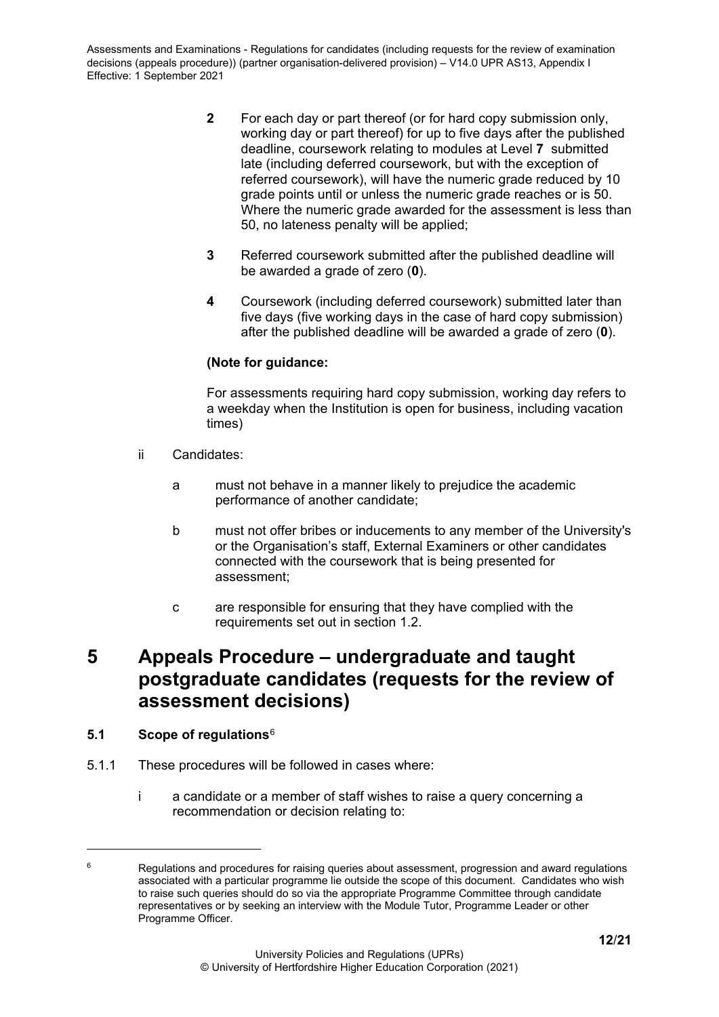- **2** For each day or part thereof (or for hard copy submission only, working day or part thereof) for up to five days after the published deadline, coursework relating to modules at Level **7** submitted late (including deferred coursework, but with the exception of referred coursework), will have the numeric grade reduced by 10 grade points until or unless the numeric grade reaches or is 50. Where the numeric grade awarded for the assessment is less than 50, no lateness penalty will be applied;
- **3** Referred coursework submitted after the published deadline will be awarded a grade of zero (**0**).
- **4** Coursework (including deferred coursework) submitted later than five days (five working days in the case of hard copy submission) after the published deadline will be awarded a grade of zero (**0**).

# **(Note for guidance:**

For assessments requiring hard copy submission, working day refers to a weekday when the Institution is open for business, including vacation times)

- ii Candidates:
	- a must not behave in a manner likely to prejudice the academic performance of another candidate;
	- b must not offer bribes or inducements to any member of the University's or the Organisation's staff, External Examiners or other candidates connected with the coursework that is being presented for assessment;
	- c are responsible for ensuring that they have complied with the requirements set out in section 1.2.

# <span id="page-11-0"></span>**5 Appeals Procedure – undergraduate and taught postgraduate candidates (requests for the review of assessment decisions)**

## <span id="page-11-1"></span>**5.1 Scope of regulations**[6](#page-11-2)

- 5.1.1 These procedures will be followed in cases where:
	- i a candidate or a member of staff wishes to raise a query concerning a recommendation or decision relating to:

<span id="page-11-2"></span> $6 \text{}$  Regulations and procedures for raising queries about assessment, progression and award regulations associated with a particular programme lie outside the scope of this document. Candidates who wish to raise such queries should do so via the appropriate Programme Committee through candidate representatives or by seeking an interview with the Module Tutor, Programme Leader or other Programme Officer.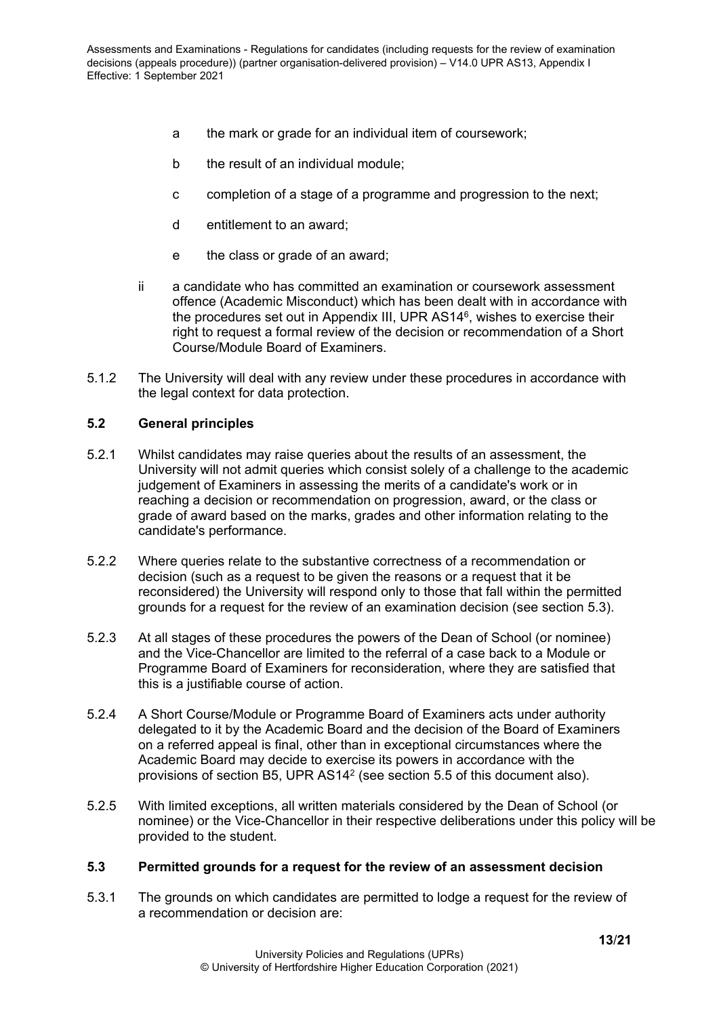- a the mark or grade for an individual item of coursework;
- b the result of an individual module;
- c completion of a stage of a programme and progression to the next;
- d entitlement to an award;
- e the class or grade of an award;
- ii a candidate who has committed an examination or coursework assessment offence (Academic Misconduct) which has been dealt with in accordance with the procedures set out in Appendix III, UPR AS146, wishes to exercise their right to request a formal review of the decision or recommendation of a Short Course/Module Board of Examiners.
- 5.1.2 The University will deal with any review under these procedures in accordance with the legal context for data protection.

#### <span id="page-12-0"></span>**5.2 General principles**

- 5.2.1 Whilst candidates may raise queries about the results of an assessment, the University will not admit queries which consist solely of a challenge to the academic judgement of Examiners in assessing the merits of a candidate's work or in reaching a decision or recommendation on progression, award, or the class or grade of award based on the marks, grades and other information relating to the candidate's performance.
- 5.2.2 Where queries relate to the substantive correctness of a recommendation or decision (such as a request to be given the reasons or a request that it be reconsidered) the University will respond only to those that fall within the permitted grounds for a request for the review of an examination decision (see section 5.3).
- 5.2.3 At all stages of these procedures the powers of the Dean of School (or nominee) and the Vice-Chancellor are limited to the referral of a case back to a Module or Programme Board of Examiners for reconsideration, where they are satisfied that this is a justifiable course of action.
- 5.2.4 A Short Course/Module or Programme Board of Examiners acts under authority delegated to it by the Academic Board and the decision of the Board of Examiners on a referred appeal is final, other than in exceptional circumstances where the Academic Board may decide to exercise its powers in accordance with the provisions of section B5, UPR AS142 (see section 5.5 of this document also).
- 5.2.5 With limited exceptions, all written materials considered by the Dean of School (or nominee) or the Vice-Chancellor in their respective deliberations under this policy will be provided to the student.

#### <span id="page-12-1"></span>**5.3 Permitted grounds for a request for the review of an assessment decision**

5.3.1 The grounds on which candidates are permitted to lodge a request for the review of a recommendation or decision are: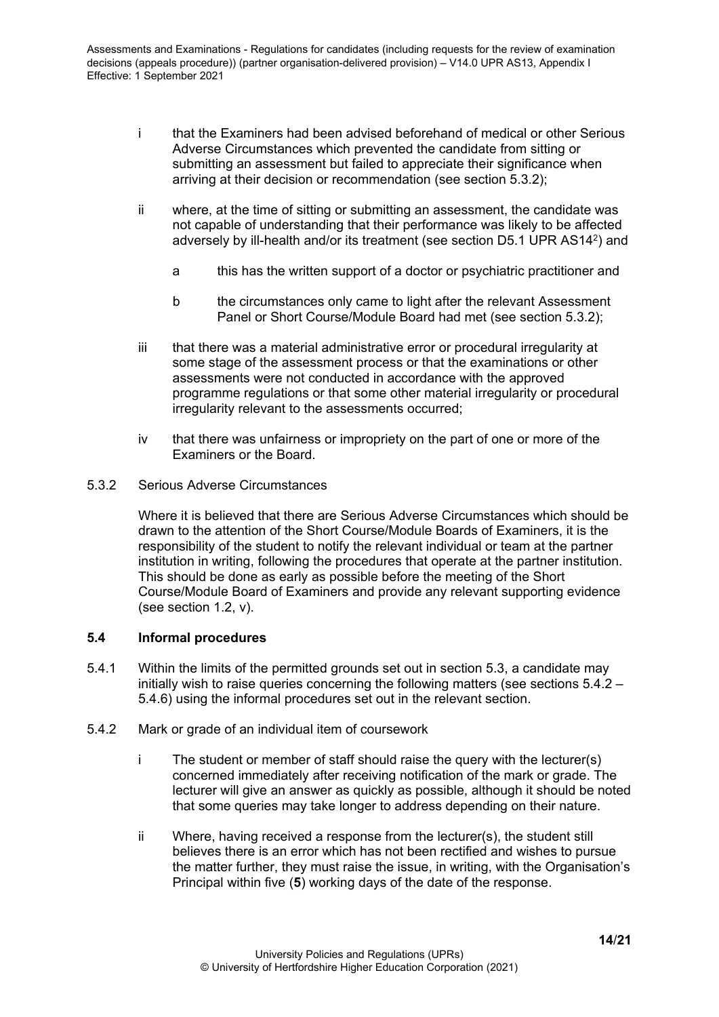- i that the Examiners had been advised beforehand of medical or other Serious Adverse Circumstances which prevented the candidate from sitting or submitting an assessment but failed to appreciate their significance when arriving at their decision or recommendation (see section 5.3.2);
- ii where, at the time of sitting or submitting an assessment, the candidate was not capable of understanding that their performance was likely to be affected adversely by ill-health and/or its treatment (see section D5.1 UPR AS142) and
	- a this has the written support of a doctor or psychiatric practitioner and
	- b the circumstances only came to light after the relevant Assessment Panel or Short Course/Module Board had met (see section 5.3.2);
- iii that there was a material administrative error or procedural irregularity at some stage of the assessment process or that the examinations or other assessments were not conducted in accordance with the approved programme regulations or that some other material irregularity or procedural irregularity relevant to the assessments occurred;
- iv that there was unfairness or impropriety on the part of one or more of the Examiners or the Board.
- <span id="page-13-0"></span>5.3.2 Serious Adverse Circumstances

Where it is believed that there are Serious Adverse Circumstances which should be drawn to the attention of the Short Course/Module Boards of Examiners, it is the responsibility of the student to notify the relevant individual or team at the partner institution in writing, following the procedures that operate at the partner institution. This should be done as early as possible before the meeting of the Short Course/Module Board of Examiners and provide any relevant supporting evidence (see section 1.2, v).

## <span id="page-13-1"></span>**5.4 Informal procedures**

- 5.4.1 Within the limits of the permitted grounds set out in section 5.3, a candidate may initially wish to raise queries concerning the following matters (see sections 5.4.2 – 5.4.6) using the informal procedures set out in the relevant section.
- <span id="page-13-2"></span>5.4.2 Mark or grade of an individual item of coursework
	- i The student or member of staff should raise the query with the lecturer(s) concerned immediately after receiving notification of the mark or grade. The lecturer will give an answer as quickly as possible, although it should be noted that some queries may take longer to address depending on their nature.
	- ii Where, having received a response from the lecturer(s), the student still believes there is an error which has not been rectified and wishes to pursue the matter further, they must raise the issue, in writing, with the Organisation's Principal within five (**5**) working days of the date of the response.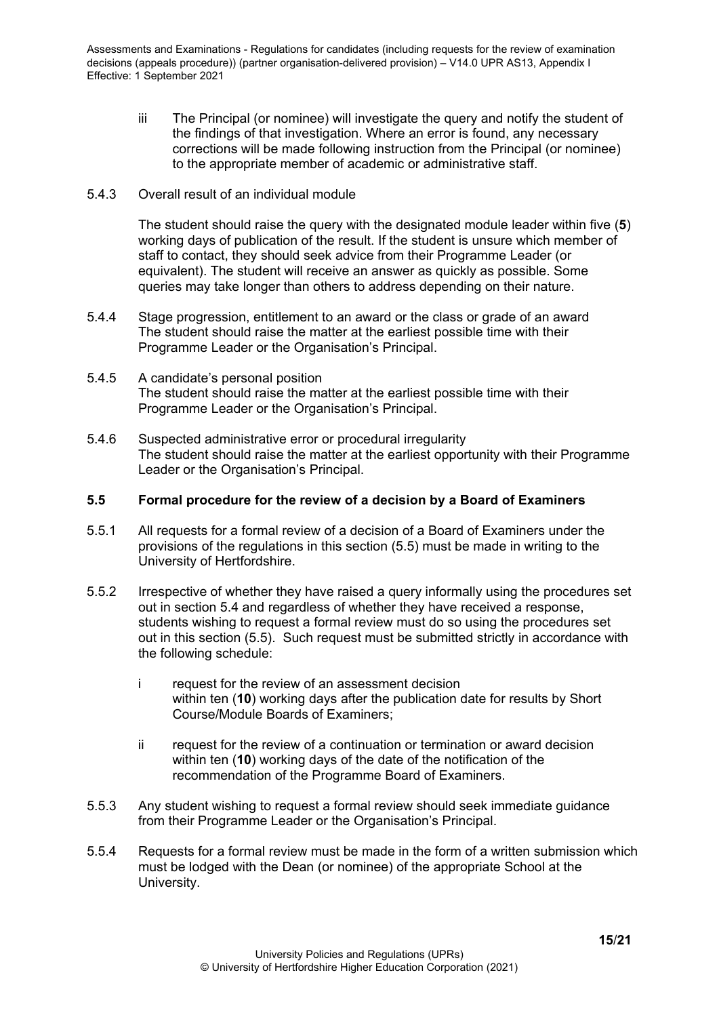- iii The Principal (or nominee) will investigate the query and notify the student of the findings of that investigation. Where an error is found, any necessary corrections will be made following instruction from the Principal (or nominee) to the appropriate member of academic or administrative staff.
- <span id="page-14-0"></span>5.4.3 Overall result of an individual module

The student should raise the query with the designated module leader within five (**5**) working days of publication of the result. If the student is unsure which member of staff to contact, they should seek advice from their Programme Leader (or equivalent). The student will receive an answer as quickly as possible. Some queries may take longer than others to address depending on their nature.

- <span id="page-14-1"></span>5.4.4 Stage progression, entitlement to an award or the class or grade of an award The student should raise the matter at the earliest possible time with their Programme Leader or the Organisation's Principal.
- <span id="page-14-2"></span>5.4.5 A candidate's personal position The student should raise the matter at the earliest possible time with their Programme Leader or the Organisation's Principal.
- <span id="page-14-3"></span>5.4.6 Suspected administrative error or procedural irregularity The student should raise the matter at the earliest opportunity with their Programme Leader or the Organisation's Principal.

#### <span id="page-14-4"></span>**5.5 Formal procedure for the review of a decision by a Board of Examiners**

- 5.5.1 All requests for a formal review of a decision of a Board of Examiners under the provisions of the regulations in this section (5.5) must be made in writing to the University of Hertfordshire.
- 5.5.2 Irrespective of whether they have raised a query informally using the procedures set out in section 5.4 and regardless of whether they have received a response, students wishing to request a formal review must do so using the procedures set out in this section (5.5). Such request must be submitted strictly in accordance with the following schedule:
	- i request for the review of an assessment decision within ten (**10**) working days after the publication date for results by Short Course/Module Boards of Examiners;
	- ii request for the review of a continuation or termination or award decision within ten (**10**) working days of the date of the notification of the recommendation of the Programme Board of Examiners.
- 5.5.3 Any student wishing to request a formal review should seek immediate guidance from their Programme Leader or the Organisation's Principal.
- 5.5.4 Requests for a formal review must be made in the form of a written submission which must be lodged with the Dean (or nominee) of the appropriate School at the University.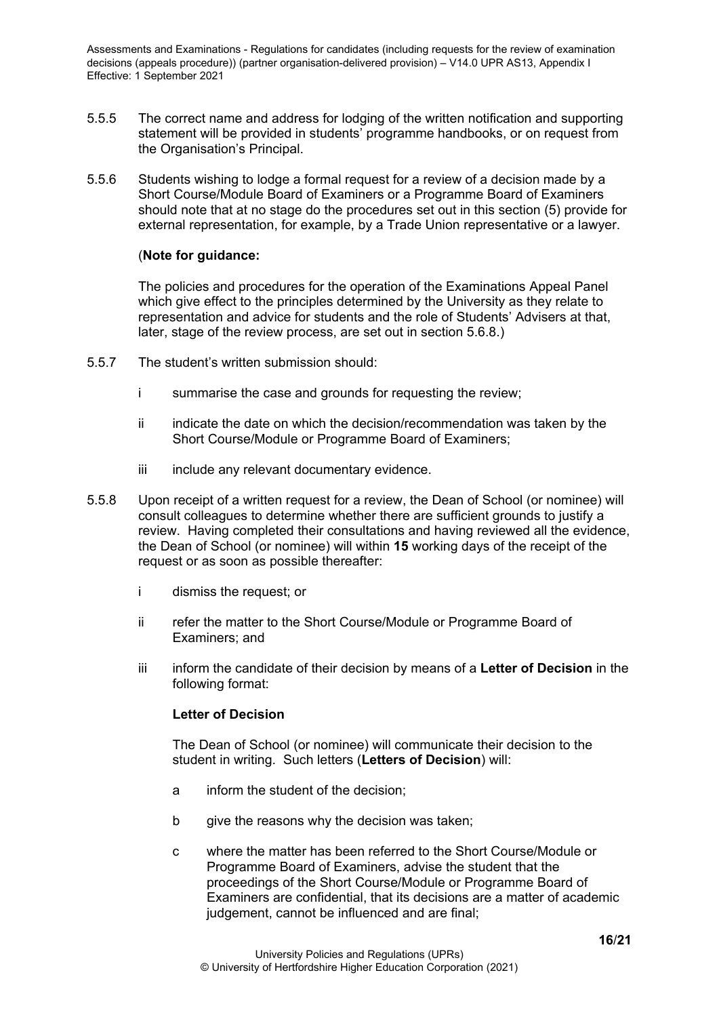- 5.5.5 The correct name and address for lodging of the written notification and supporting statement will be provided in students' programme handbooks, or on request from the Organisation's Principal.
- 5.5.6 Students wishing to lodge a formal request for a review of a decision made by a Short Course/Module Board of Examiners or a Programme Board of Examiners should note that at no stage do the procedures set out in this section (5) provide for external representation, for example, by a Trade Union representative or a lawyer.

#### (**Note for guidance:**

The policies and procedures for the operation of the Examinations Appeal Panel which give effect to the principles determined by the University as they relate to representation and advice for students and the role of Students' Advisers at that, later, stage of the review process, are set out in section 5.6.8.)

- 5.5.7 The student's written submission should:
	- i summarise the case and grounds for requesting the review;
	- ii indicate the date on which the decision/recommendation was taken by the Short Course/Module or Programme Board of Examiners;
	- iii include any relevant documentary evidence.
- 5.5.8 Upon receipt of a written request for a review, the Dean of School (or nominee) will consult colleagues to determine whether there are sufficient grounds to justify a review. Having completed their consultations and having reviewed all the evidence, the Dean of School (or nominee) will within **15** working days of the receipt of the request or as soon as possible thereafter:
	- i dismiss the request; or
	- ii refer the matter to the Short Course/Module or Programme Board of Examiners; and
	- iii inform the candidate of their decision by means of a **Letter of Decision** in the following format:

## **Letter of Decision**

The Dean of School (or nominee) will communicate their decision to the student in writing. Such letters (**Letters of Decision**) will:

- a inform the student of the decision;
- b give the reasons why the decision was taken;
- c where the matter has been referred to the Short Course/Module or Programme Board of Examiners, advise the student that the proceedings of the Short Course/Module or Programme Board of Examiners are confidential, that its decisions are a matter of academic judgement, cannot be influenced and are final;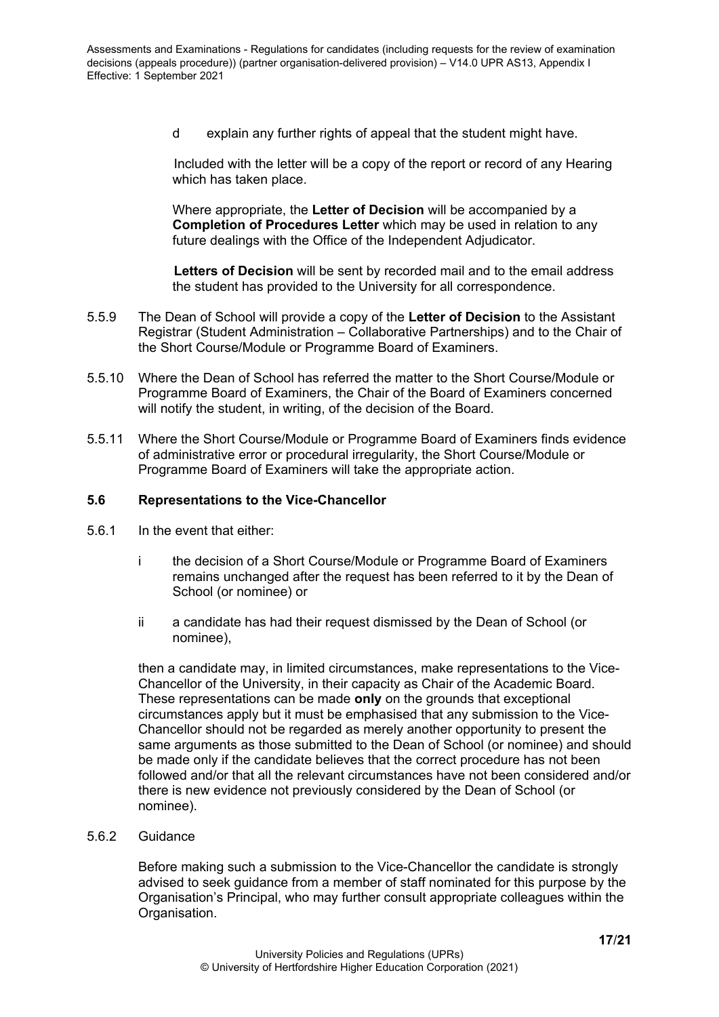d explain any further rights of appeal that the student might have.

Included with the letter will be a copy of the report or record of any Hearing which has taken place.

Where appropriate, the **Letter of Decision** will be accompanied by a **Completion of Procedures Letter** which may be used in relation to any future dealings with the Office of the Independent Adjudicator.

**Letters of Decision** will be sent by recorded mail and to the email address the student has provided to the University for all correspondence.

- 5.5.9 The Dean of School will provide a copy of the **Letter of Decision** to the Assistant Registrar (Student Administration – Collaborative Partnerships) and to the Chair of the Short Course/Module or Programme Board of Examiners.
- 5.5.10 Where the Dean of School has referred the matter to the Short Course/Module or Programme Board of Examiners, the Chair of the Board of Examiners concerned will notify the student, in writing, of the decision of the Board.
- 5.5.11 Where the Short Course/Module or Programme Board of Examiners finds evidence of administrative error or procedural irregularity, the Short Course/Module or Programme Board of Examiners will take the appropriate action.

#### <span id="page-16-0"></span>**5.6 Representations to the Vice-Chancellor**

- 5.6.1 In the event that either:
	- i the decision of a Short Course/Module or Programme Board of Examiners remains unchanged after the request has been referred to it by the Dean of School (or nominee) or
	- ii a candidate has had their request dismissed by the Dean of School (or nominee),

then a candidate may, in limited circumstances, make representations to the Vice-Chancellor of the University, in their capacity as Chair of the Academic Board. These representations can be made **only** on the grounds that exceptional circumstances apply but it must be emphasised that any submission to the Vice-Chancellor should not be regarded as merely another opportunity to present the same arguments as those submitted to the Dean of School (or nominee) and should be made only if the candidate believes that the correct procedure has not been followed and/or that all the relevant circumstances have not been considered and/or there is new evidence not previously considered by the Dean of School (or nominee).

<span id="page-16-1"></span>5.6.2 Guidance

Before making such a submission to the Vice-Chancellor the candidate is strongly advised to seek guidance from a member of staff nominated for this purpose by the Organisation's Principal, who may further consult appropriate colleagues within the Organisation.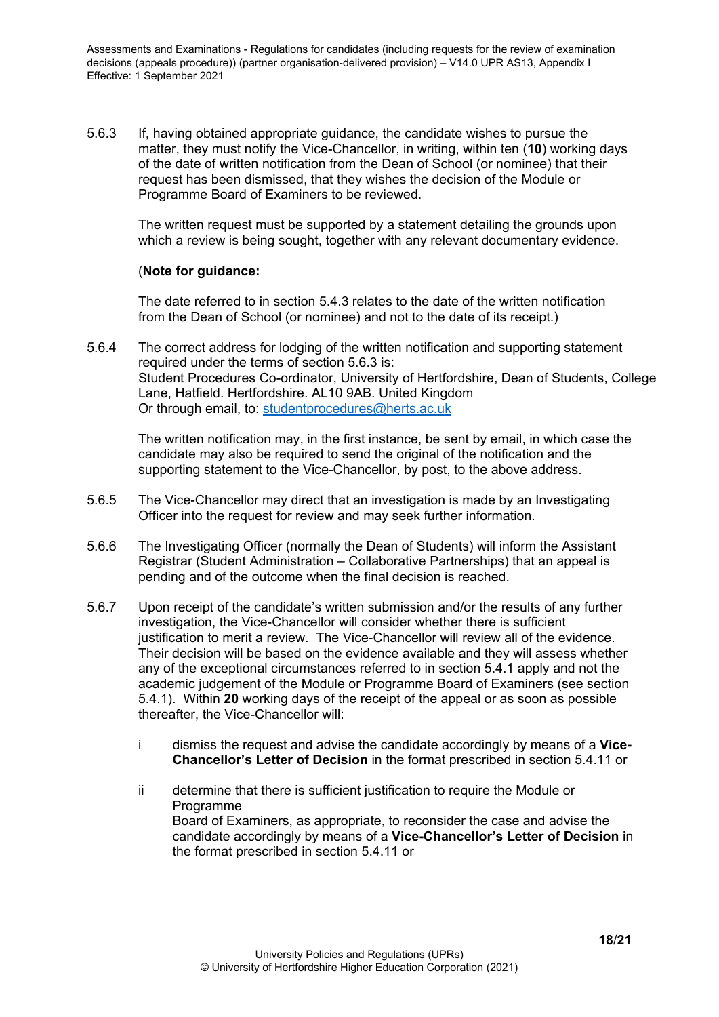5.6.3 If, having obtained appropriate guidance, the candidate wishes to pursue the matter, they must notify the Vice-Chancellor, in writing, within ten (**10**) working days of the date of written notification from the Dean of School (or nominee) that their request has been dismissed, that they wishes the decision of the Module or Programme Board of Examiners to be reviewed.

The written request must be supported by a statement detailing the grounds upon which a review is being sought, together with any relevant documentary evidence.

#### (**Note for guidance:**

The date referred to in section 5.4.3 relates to the date of the written notification from the Dean of School (or nominee) and not to the date of its receipt.)

5.6.4 The correct address for lodging of the written notification and supporting statement required under the terms of section 5.6.3 is: Student Procedures Co-ordinator, University of Hertfordshire, Dean of Students, College Lane, Hatfield. Hertfordshire. AL10 9AB. United Kingdom Or through email, to: [studentprocedures@herts.ac.uk](mailto:studentprocedures@herts.ac.uk)

The written notification may, in the first instance, be sent by email, in which case the candidate may also be required to send the original of the notification and the supporting statement to the Vice-Chancellor, by post, to the above address.

- 5.6.5 The Vice-Chancellor may direct that an investigation is made by an Investigating Officer into the request for review and may seek further information.
- 5.6.6 The Investigating Officer (normally the Dean of Students) will inform the Assistant Registrar (Student Administration – Collaborative Partnerships) that an appeal is pending and of the outcome when the final decision is reached.
- 5.6.7 Upon receipt of the candidate's written submission and/or the results of any further investigation, the Vice-Chancellor will consider whether there is sufficient justification to merit a review. The Vice-Chancellor will review all of the evidence. Their decision will be based on the evidence available and they will assess whether any of the exceptional circumstances referred to in section 5.4.1 apply and not the academic judgement of the Module or Programme Board of Examiners (see section 5.4.1). Within **20** working days of the receipt of the appeal or as soon as possible thereafter, the Vice-Chancellor will:
	- i dismiss the request and advise the candidate accordingly by means of a **Vice-Chancellor's Letter of Decision** in the format prescribed in section 5.4.11 or
	- ii determine that there is sufficient justification to require the Module or **Programme** Board of Examiners, as appropriate, to reconsider the case and advise the candidate accordingly by means of a **Vice-Chancellor's Letter of Decision** in the format prescribed in section 5.4.11 or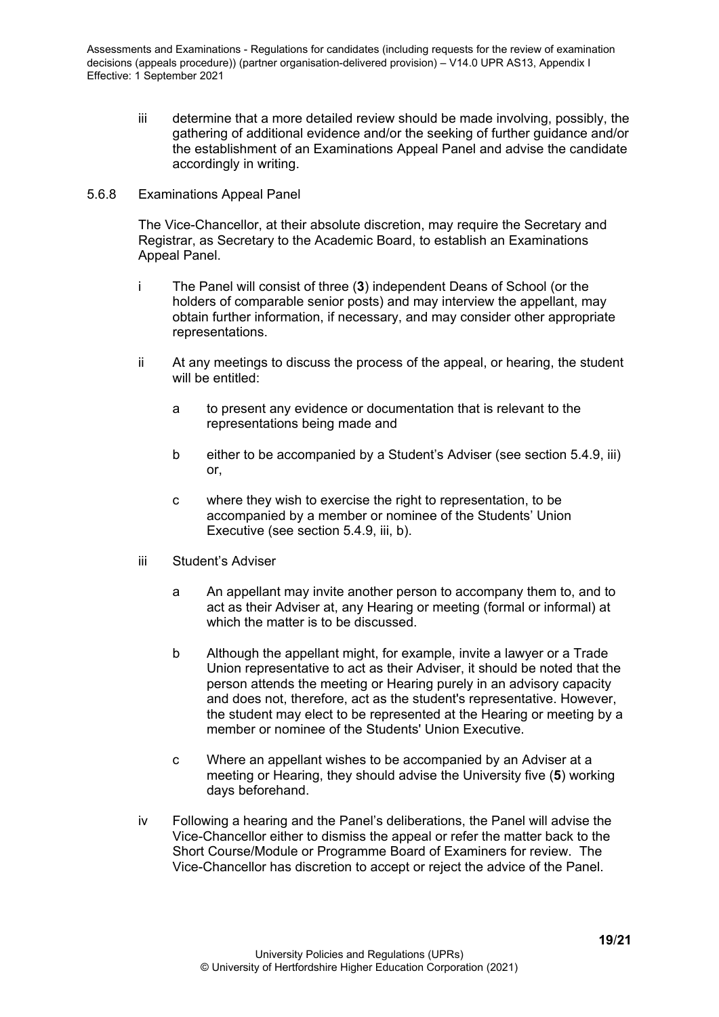iii determine that a more detailed review should be made involving, possibly, the gathering of additional evidence and/or the seeking of further guidance and/or the establishment of an Examinations Appeal Panel and advise the candidate accordingly in writing.

#### <span id="page-18-0"></span>5.6.8 Examinations Appeal Panel

The Vice-Chancellor, at their absolute discretion, may require the Secretary and Registrar, as Secretary to the Academic Board, to establish an Examinations Appeal Panel.

- i The Panel will consist of three (**3**) independent Deans of School (or the holders of comparable senior posts) and may interview the appellant, may obtain further information, if necessary, and may consider other appropriate representations.
- ii At any meetings to discuss the process of the appeal, or hearing, the student will be entitled:
	- a to present any evidence or documentation that is relevant to the representations being made and
	- b either to be accompanied by a Student's Adviser (see section 5.4.9, iii) or,
	- c where they wish to exercise the right to representation, to be accompanied by a member or nominee of the Students' Union Executive (see section 5.4.9, iii, b).
- iii Student's Adviser
	- a An appellant may invite another person to accompany them to, and to act as their Adviser at, any Hearing or meeting (formal or informal) at which the matter is to be discussed.
	- b Although the appellant might, for example, invite a lawyer or a Trade Union representative to act as their Adviser, it should be noted that the person attends the meeting or Hearing purely in an advisory capacity and does not, therefore, act as the student's representative. However, the student may elect to be represented at the Hearing or meeting by a member or nominee of the Students' Union Executive.
	- c Where an appellant wishes to be accompanied by an Adviser at a meeting or Hearing, they should advise the University five (**5**) working days beforehand.
- iv Following a hearing and the Panel's deliberations, the Panel will advise the Vice-Chancellor either to dismiss the appeal or refer the matter back to the Short Course/Module or Programme Board of Examiners for review. The Vice-Chancellor has discretion to accept or reject the advice of the Panel.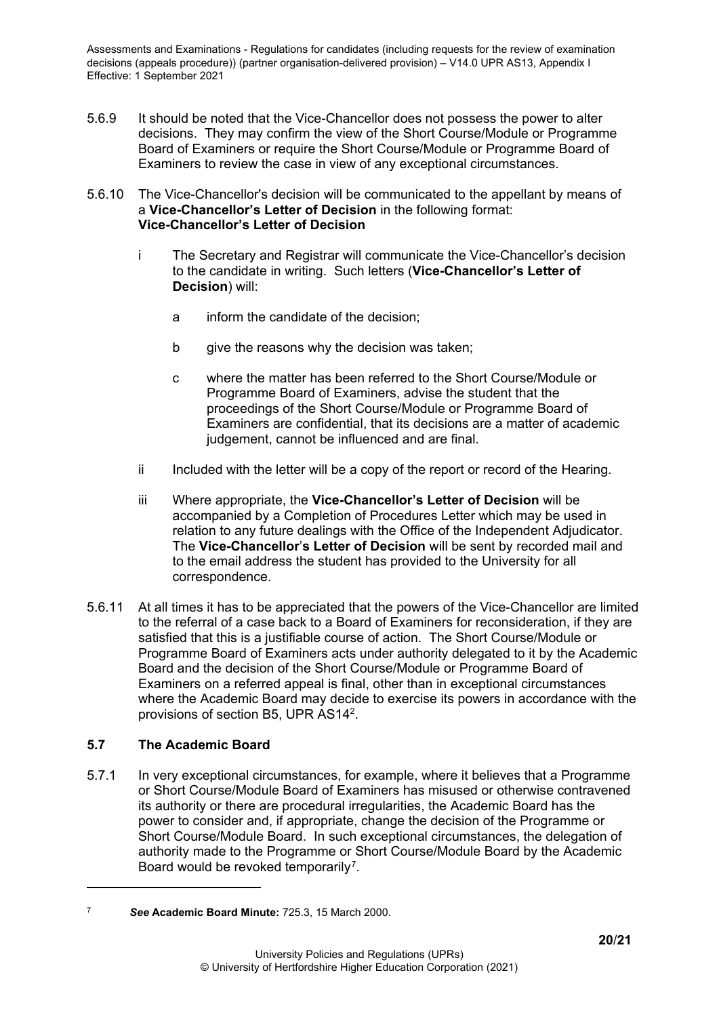- 5.6.9 It should be noted that the Vice-Chancellor does not possess the power to alter decisions. They may confirm the view of the Short Course/Module or Programme Board of Examiners or require the Short Course/Module or Programme Board of Examiners to review the case in view of any exceptional circumstances.
- 5.6.10 The Vice-Chancellor's decision will be communicated to the appellant by means of a **Vice-Chancellor's Letter of Decision** in the following format: **Vice-Chancellor's Letter of Decision**
	- i The Secretary and Registrar will communicate the Vice-Chancellor's decision to the candidate in writing. Such letters (**Vice-Chancellor's Letter of Decision**) will:
		- a inform the candidate of the decision;
		- b give the reasons why the decision was taken;
		- c where the matter has been referred to the Short Course/Module or Programme Board of Examiners, advise the student that the proceedings of the Short Course/Module or Programme Board of Examiners are confidential, that its decisions are a matter of academic judgement, cannot be influenced and are final.
	- ii Included with the letter will be a copy of the report or record of the Hearing.
	- iii Where appropriate, the **Vice-Chancellor's Letter of Decision** will be accompanied by a Completion of Procedures Letter which may be used in relation to any future dealings with the Office of the Independent Adjudicator. The **Vice-Chancellor**'**s Letter of Decision** will be sent by recorded mail and to the email address the student has provided to the University for all correspondence.
- 5.6.11 At all times it has to be appreciated that the powers of the Vice-Chancellor are limited to the referral of a case back to a Board of Examiners for reconsideration, if they are satisfied that this is a justifiable course of action. The Short Course/Module or Programme Board of Examiners acts under authority delegated to it by the Academic Board and the decision of the Short Course/Module or Programme Board of Examiners on a referred appeal is final, other than in exceptional circumstances where the Academic Board may decide to exercise its powers in accordance with the provisions of section B5, UPR AS142.

# <span id="page-19-0"></span>**5.7 The Academic Board**

5.7.1 In very exceptional circumstances, for example, where it believes that a Programme or Short Course/Module Board of Examiners has misused or otherwise contravened its authority or there are procedural irregularities, the Academic Board has the power to consider and, if appropriate, change the decision of the Programme or Short Course/Module Board. In such exceptional circumstances, the delegation of authority made to the Programme or Short Course/Module Board by the Academic Board would be revoked temporarily<sup>[7](#page-19-1)</sup>.

<span id="page-19-1"></span><sup>7</sup> *See* **Academic Board Minute:** 725.3, 15 March 2000.